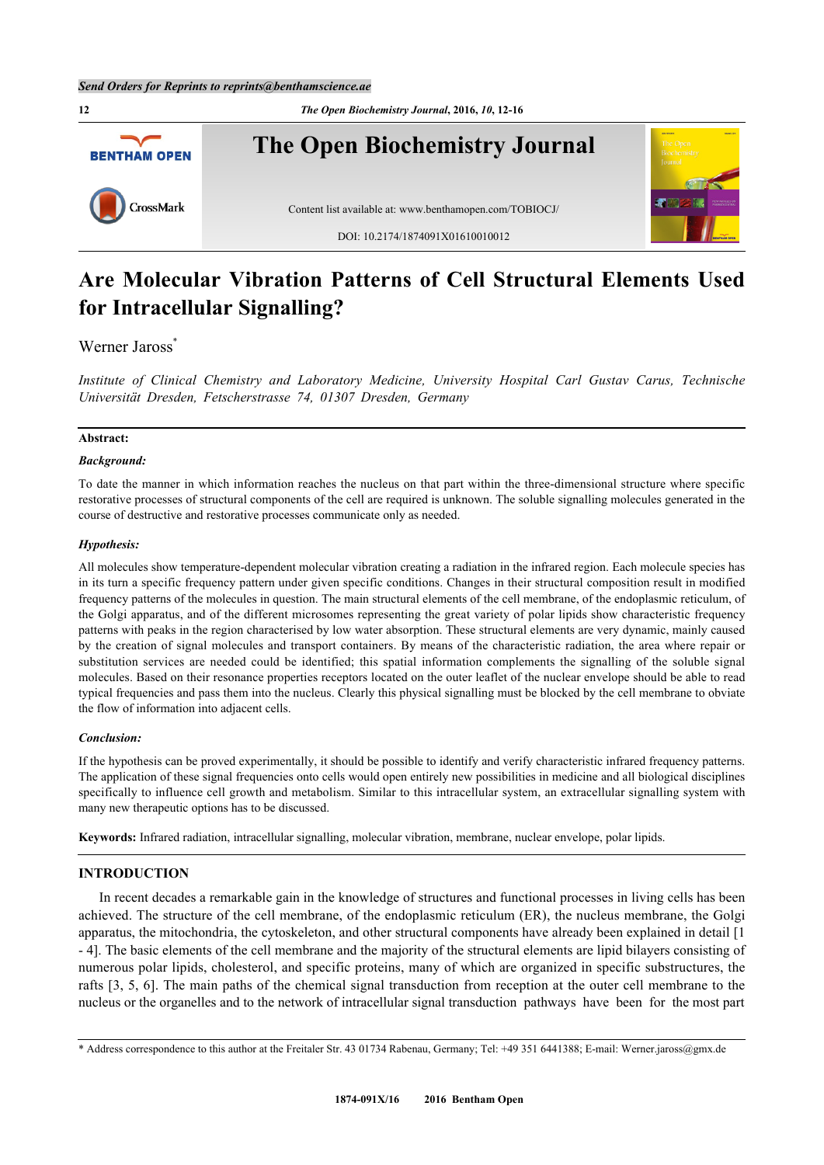

# **Are Molecular Vibration Patterns of Cell Structural Elements Used for Intracellular Signalling?**

# Werner Jaross<sup>[\\*](#page-0-0)</sup>

*Institute of Clinical Chemistry and Laboratory Medicine, University Hospital Carl Gustav Carus, Technische Universität Dresden, Fetscherstrasse 74, 01307 Dresden, Germany*

## **Abstract:**

## *Background:*

To date the manner in which information reaches the nucleus on that part within the three-dimensional structure where specific restorative processes of structural components of the cell are required is unknown. The soluble signalling molecules generated in the course of destructive and restorative processes communicate only as needed.

## *Hypothesis:*

All molecules show temperature-dependent molecular vibration creating a radiation in the infrared region. Each molecule species has in its turn a specific frequency pattern under given specific conditions. Changes in their structural composition result in modified frequency patterns of the molecules in question. The main structural elements of the cell membrane, of the endoplasmic reticulum, of the Golgi apparatus, and of the different microsomes representing the great variety of polar lipids show characteristic frequency patterns with peaks in the region characterised by low water absorption. These structural elements are very dynamic, mainly caused by the creation of signal molecules and transport containers. By means of the characteristic radiation, the area where repair or substitution services are needed could be identified; this spatial information complements the signalling of the soluble signal molecules. Based on their resonance properties receptors located on the outer leaflet of the nuclear envelope should be able to read typical frequencies and pass them into the nucleus. Clearly this physical signalling must be blocked by the cell membrane to obviate the flow of information into adjacent cells.

#### *Conclusion:*

If the hypothesis can be proved experimentally, it should be possible to identify and verify characteristic infrared frequency patterns. The application of these signal frequencies onto cells would open entirely new possibilities in medicine and all biological disciplines specifically to influence cell growth and metabolism. Similar to this intracellular system, an extracellular signalling system with many new therapeutic options has to be discussed.

**Keywords:** Infrared radiation, intracellular signalling, molecular vibration, membrane, nuclear envelope, polar lipids.

## **INTRODUCTION**

In recent decades a remarkable gain in the knowledge of structures and functional processes in living cells has been achieved. The structure of the cell membrane, of the endoplasmic reticulum (ER), the nucleus membrane, the Golgi apparatus, the mitochondria, the cytoskeleton, and other structural components have already been explained in detail [[1](#page-3-0) - [4\]](#page-3-1). The basic elements of the cell membrane and the majority of the structural elements are lipid bilayers consisting of numerous polar lipids, cholesterol, and specific proteins, many of which are organized in specific substructures, the rafts [[3](#page-3-2)[, 5,](#page-3-3) [6\]](#page-3-4). The main paths of the chemical signal transduction from reception at the outer cell membrane to the nucleus or the organelles and to the network of intracellular signal transduction pathways have been for the most part

<span id="page-0-0"></span><sup>\*</sup> Address correspondence to this author at the Freitaler Str. 43 01734 Rabenau, Germany; Tel: +49 351 6441388; E-mail: [Werner.jaross@gmx.de](mailto:Werner.jaross@gmx.de)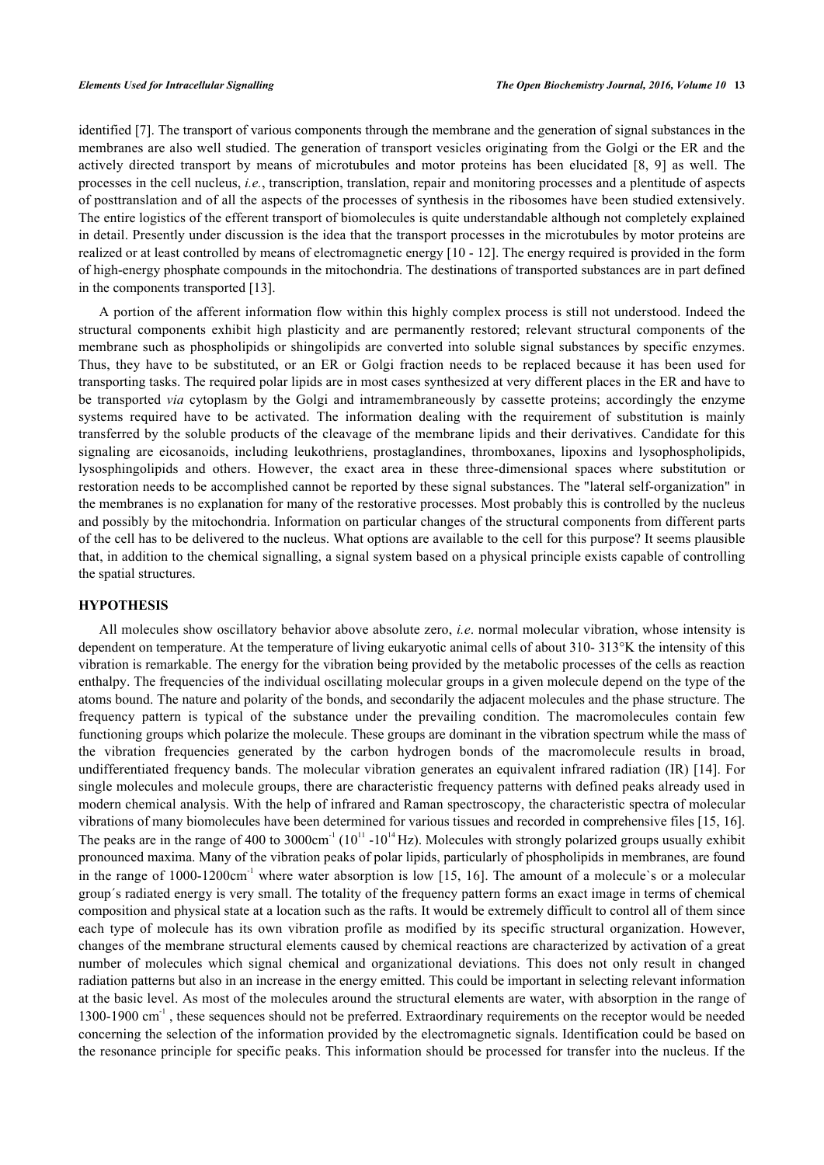identified [[7\]](#page-3-5). The transport of various components through the membrane and the generation of signal substances in the membranes are also well studied. The generation of transport vesicles originating from the Golgi or the ER and the actively directed transport by means of microtubules and motor proteins has been elucidated [\[8](#page-3-6), [9](#page-3-7)] as well. The processes in the cell nucleus, *i.e.*, transcription, translation, repair and monitoring processes and a plentitude of aspects of posttranslation and of all the aspects of the processes of synthesis in the ribosomes have been studied extensively. The entire logistics of the efferent transport of biomolecules is quite understandable although not completely explained in detail. Presently under discussion is the idea that the transport processes in the microtubules by motor proteins are realized or at least controlled by means of electromagnetic energy [\[10](#page-3-8) - [12\]](#page-3-9). The energy required is provided in the form of high-energy phosphate compounds in the mitochondria. The destinations of transported substances are in part defined in the components transported [\[13](#page-3-10)].

A portion of the afferent information flow within this highly complex process is still not understood. Indeed the structural components exhibit high plasticity and are permanently restored; relevant structural components of the membrane such as phospholipids or shingolipids are converted into soluble signal substances by specific enzymes. Thus, they have to be substituted, or an ER or Golgi fraction needs to be replaced because it has been used for transporting tasks. The required polar lipids are in most cases synthesized at very different places in the ER and have to be transported *via* cytoplasm by the Golgi and intramembraneously by cassette proteins; accordingly the enzyme systems required have to be activated. The information dealing with the requirement of substitution is mainly transferred by the soluble products of the cleavage of the membrane lipids and their derivatives. Candidate for this signaling are eicosanoids, including leukothriens, prostaglandines, thromboxanes, lipoxins and lysophospholipids, lysosphingolipids and others. However, the exact area in these three-dimensional spaces where substitution or restoration needs to be accomplished cannot be reported by these signal substances. The "lateral self-organization" in the membranes is no explanation for many of the restorative processes. Most probably this is controlled by the nucleus and possibly by the mitochondria. Information on particular changes of the structural components from different parts of the cell has to be delivered to the nucleus. What options are available to the cell for this purpose? It seems plausible that, in addition to the chemical signalling, a signal system based on a physical principle exists capable of controlling the spatial structures.

#### **HYPOTHESIS**

All molecules show oscillatory behavior above absolute zero, *i.e*. normal molecular vibration, whose intensity is dependent on temperature. At the temperature of living eukaryotic animal cells of about 310- 313°K the intensity of this vibration is remarkable. The energy for the vibration being provided by the metabolic processes of the cells as reaction enthalpy. The frequencies of the individual oscillating molecular groups in a given molecule depend on the type of the atoms bound. The nature and polarity of the bonds, and secondarily the adjacent molecules and the phase structure. The frequency pattern is typical of the substance under the prevailing condition. The macromolecules contain few functioning groups which polarize the molecule. These groups are dominant in the vibration spectrum while the mass of the vibration frequencies generated by the carbon hydrogen bonds of the macromolecule results in broad, undifferentiated frequency bands. The molecular vibration generates an equivalent infrared radiation (IR) [[14](#page-3-11)]. For single molecules and molecule groups, there are characteristic frequency patterns with defined peaks already used in modern chemical analysis. With the help of infrared and Raman spectroscopy, the characteristic spectra of molecular vibrations of many biomolecules have been determined for various tissues and recorded in comprehensive files [[15,](#page-3-12) [16\]](#page-3-13). The peaks are in the range of 400 to 3000cm<sup>-1</sup> ( $10^{11}$  - $10^{14}$  Hz). Molecules with strongly polarized groups usually exhibit pronounced maxima. Many of the vibration peaks of polar lipids, particularly of phospholipids in membranes, are found in the range of 1000-1200cm<sup>-1</sup> where water absorption is low [[15,](#page-3-12) [16\]](#page-3-13). The amount of a molecule's or a molecular group´s radiated energy is very small. The totality of the frequency pattern forms an exact image in terms of chemical composition and physical state at a location such as the rafts. It would be extremely difficult to control all of them since each type of molecule has its own vibration profile as modified by its specific structural organization. However, changes of the membrane structural elements caused by chemical reactions are characterized by activation of a great number of molecules which signal chemical and organizational deviations. This does not only result in changed radiation patterns but also in an increase in the energy emitted. This could be important in selecting relevant information at the basic level. As most of the molecules around the structural elements are water, with absorption in the range of 1300-1900 cm-1 , these sequences should not be preferred. Extraordinary requirements on the receptor would be needed concerning the selection of the information provided by the electromagnetic signals. Identification could be based on the resonance principle for specific peaks. This information should be processed for transfer into the nucleus. If the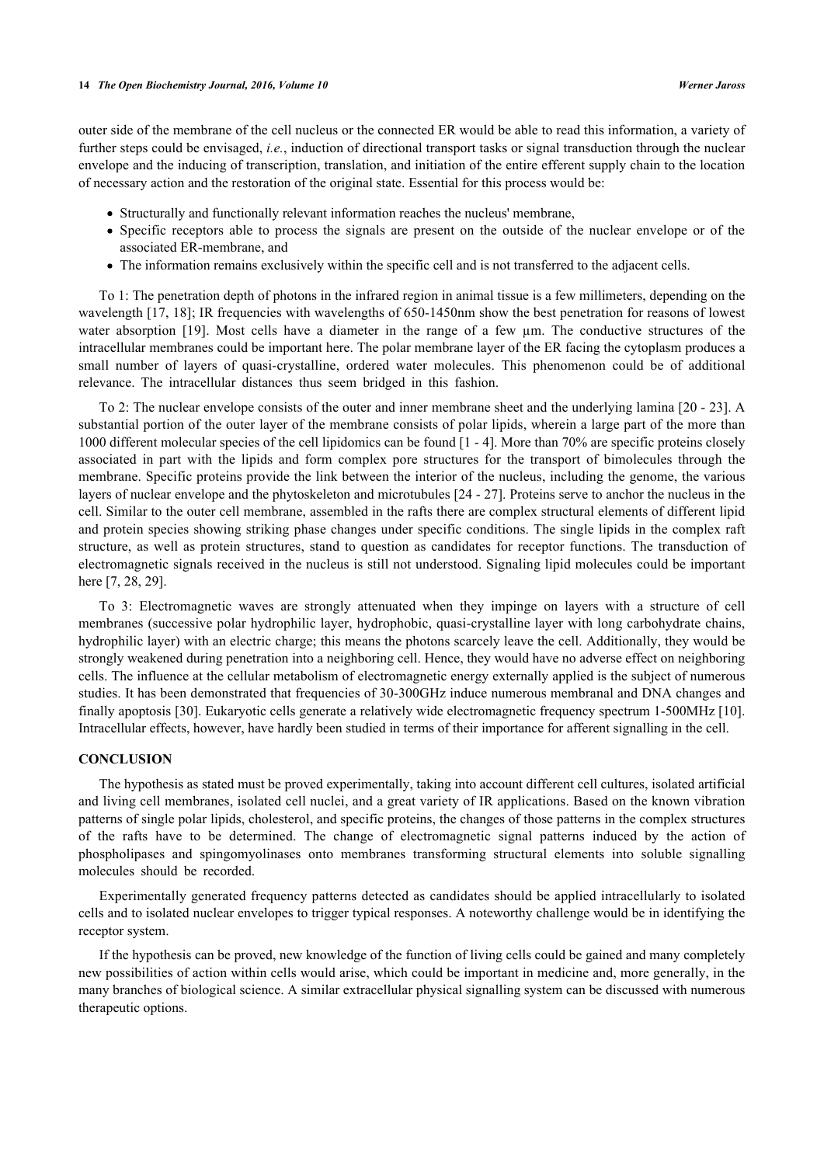outer side of the membrane of the cell nucleus or the connected ER would be able to read this information, a variety of further steps could be envisaged, *i.e.*, induction of directional transport tasks or signal transduction through the nuclear envelope and the inducing of transcription, translation, and initiation of the entire efferent supply chain to the location of necessary action and the restoration of the original state. Essential for this process would be:

- Structurally and functionally relevant information reaches the nucleus' membrane,
- Specific receptors able to process the signals are present on the outside of the nuclear envelope or of the associated ER-membrane, and
- The information remains exclusively within the specific cell and is not transferred to the adjacent cells.

To 1: The penetration depth of photons in the infrared region in animal tissue is a few millimeters, depending on the wavelength [[17,](#page-3-14) [18](#page-3-15)]; IR frequencies with wavelengths of 650-1450nm show the best penetration for reasons of lowest water absorption [\[19](#page-4-0)]. Most cells have a diameter in the range of a few µm. The conductive structures of the intracellular membranes could be important here. The polar membrane layer of the ER facing the cytoplasm produces a small number of layers of quasi-crystalline, ordered water molecules. This phenomenon could be of additional relevance. The intracellular distances thus seem bridged in this fashion.

To 2: The nuclear envelope consists of the outer and inner membrane sheet and the underlying lamina [[20](#page-4-1) - [23\]](#page-4-2). A substantial portion of the outer layer of the membrane consists of polar lipids, wherein a large part of the more than 1000 different molecular species of the cell lipidomics can be found [\[1](#page-3-0) - [4\]](#page-3-1). More than 70% are specific proteins closely associated in part with the lipids and form complex pore structures for the transport of bimolecules through the membrane. Specific proteins provide the link between the interior of the nucleus, including the genome, the various layers of nuclear envelope and the phytoskeleton and microtubules [\[24](#page-4-3) - [27\]](#page-4-4). Proteins serve to anchor the nucleus in the cell. Similar to the outer cell membrane, assembled in the rafts there are complex structural elements of different lipid and protein species showing striking phase changes under specific conditions. The single lipids in the complex raft structure, as well as protein structures, stand to question as candidates for receptor functions. The transduction of electromagnetic signals received in the nucleus is still not understood. Signaling lipid molecules could be important here [[7,](#page-3-5) [28,](#page-4-5) [29\]](#page-4-6).

To 3: Electromagnetic waves are strongly attenuated when they impinge on layers with a structure of cell membranes (successive polar hydrophilic layer, hydrophobic, quasi-crystalline layer with long carbohydrate chains, hydrophilic layer) with an electric charge; this means the photons scarcely leave the cell. Additionally, they would be strongly weakened during penetration into a neighboring cell. Hence, they would have no adverse effect on neighboring cells. The influence at the cellular metabolism of electromagnetic energy externally applied is the subject of numerous studies. It has been demonstrated that frequencies of 30-300GHz induce numerous membranal and DNA changes and finally apoptosis [[30\]](#page-4-7). Eukaryotic cells generate a relatively wide electromagnetic frequency spectrum 1-500MHz [[10\]](#page-3-8). Intracellular effects, however, have hardly been studied in terms of their importance for afferent signalling in the cell.

## **CONCLUSION**

The hypothesis as stated must be proved experimentally, taking into account different cell cultures, isolated artificial and living cell membranes, isolated cell nuclei, and a great variety of IR applications. Based on the known vibration patterns of single polar lipids, cholesterol, and specific proteins, the changes of those patterns in the complex structures of the rafts have to be determined. The change of electromagnetic signal patterns induced by the action of phospholipases and spingomyolinases onto membranes transforming structural elements into soluble signalling molecules should be recorded.

Experimentally generated frequency patterns detected as candidates should be applied intracellularly to isolated cells and to isolated nuclear envelopes to trigger typical responses. A noteworthy challenge would be in identifying the receptor system.

If the hypothesis can be proved, new knowledge of the function of living cells could be gained and many completely new possibilities of action within cells would arise, which could be important in medicine and, more generally, in the many branches of biological science. A similar extracellular physical signalling system can be discussed with numerous therapeutic options.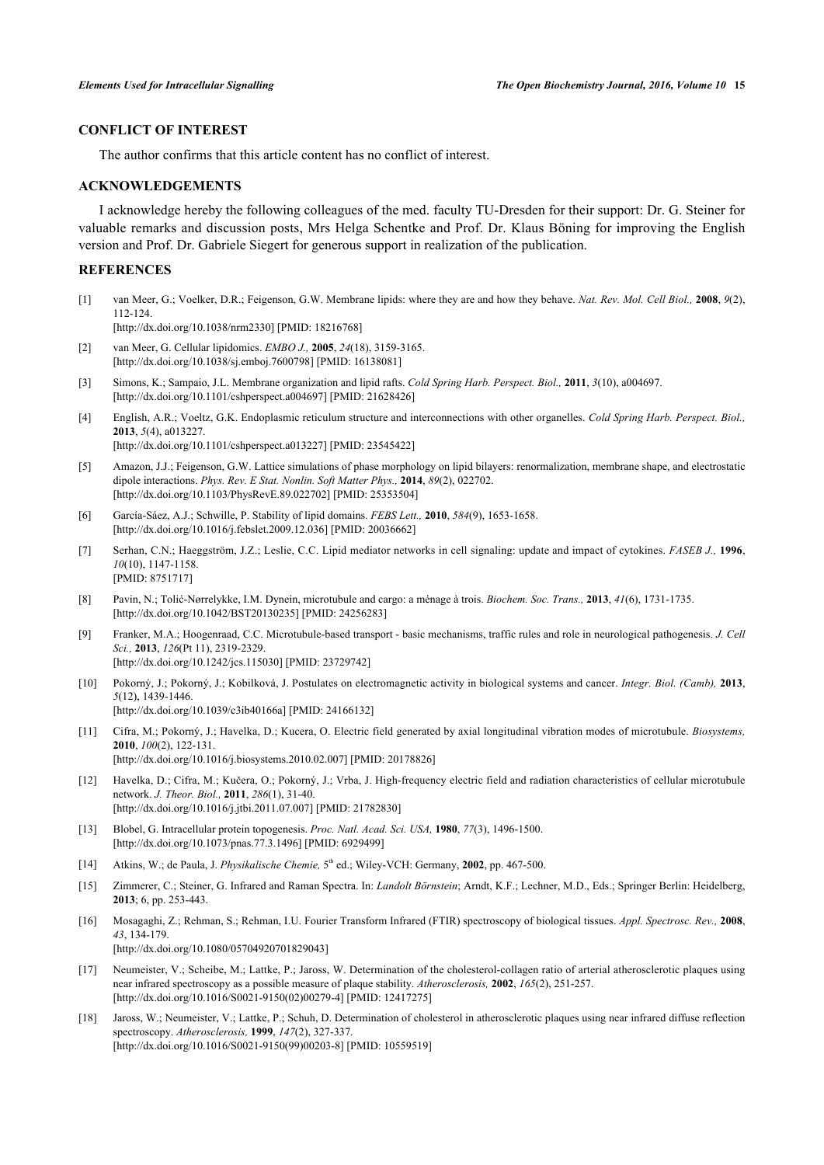# **CONFLICT OF INTEREST**

The author confirms that this article content has no conflict of interest.

## **ACKNOWLEDGEMENTS**

I acknowledge hereby the following colleagues of the med. faculty TU-Dresden for their support: Dr. G. Steiner for valuable remarks and discussion posts, Mrs Helga Schentke and Prof. Dr. Klaus Böning for improving the English version and Prof. Dr. Gabriele Siegert for generous support in realization of the publication.

## **REFERENCES**

<span id="page-3-0"></span>[1] van Meer, G.; Voelker, D.R.; Feigenson, G.W. Membrane lipids: where they are and how they behave. *Nat. Rev. Mol. Cell Biol.,* **2008**, *9*(2), 112-124.

[\[http://dx.doi.org/10.1038/nrm2330\]](http://dx.doi.org/10.1038/nrm2330) [PMID: [18216768](http://www.ncbi.nlm.nih.gov/pubmed/18216768)]

- [2] van Meer, G. Cellular lipidomics. *EMBO J.,* **2005**, *24*(18), 3159-3165. [\[http://dx.doi.org/10.1038/sj.emboj.7600798](http://dx.doi.org/10.1038/sj.emboj.7600798)] [PMID: [16138081\]](http://www.ncbi.nlm.nih.gov/pubmed/16138081)
- <span id="page-3-2"></span>[3] Simons, K.; Sampaio, J.L. Membrane organization and lipid rafts. *Cold Spring Harb. Perspect. Biol.,* **2011**, *3*(10), a004697. [\[http://dx.doi.org/10.1101/cshperspect.a004697\]](http://dx.doi.org/10.1101/cshperspect.a004697) [PMID: [21628426](http://www.ncbi.nlm.nih.gov/pubmed/21628426)]
- <span id="page-3-1"></span>[4] English, A.R.; Voeltz, G.K. Endoplasmic reticulum structure and interconnections with other organelles. *Cold Spring Harb. Perspect. Biol.,* **2013**, *5*(4), a013227. [\[http://dx.doi.org/10.1101/cshperspect.a013227\]](http://dx.doi.org/10.1101/cshperspect.a013227) [PMID: [23545422](http://www.ncbi.nlm.nih.gov/pubmed/23545422)]
- <span id="page-3-3"></span>[5] Amazon, J.J.; Feigenson, G.W. Lattice simulations of phase morphology on lipid bilayers: renormalization, membrane shape, and electrostatic dipole interactions. *Phys. Rev. E Stat. Nonlin. Soft Matter Phys.,* **2014**, *89*(2), 022702. [\[http://dx.doi.org/10.1103/PhysRevE.89.022702](http://dx.doi.org/10.1103/PhysRevE.89.022702)] [PMID: [25353504\]](http://www.ncbi.nlm.nih.gov/pubmed/25353504)
- <span id="page-3-4"></span>[6] García-Sáez, A.J.; Schwille, P. Stability of lipid domains. *FEBS Lett.,* **2010**, *584*(9), 1653-1658. [\[http://dx.doi.org/10.1016/j.febslet.2009.12.036](http://dx.doi.org/10.1016/j.febslet.2009.12.036)] [PMID: [20036662\]](http://www.ncbi.nlm.nih.gov/pubmed/20036662)
- <span id="page-3-5"></span>[7] Serhan, C.N.; Haeggström, J.Z.; Leslie, C.C. Lipid mediator networks in cell signaling: update and impact of cytokines. *FASEB J.,* **1996**, *10*(10), 1147-1158. [PMID: [8751717\]](http://www.ncbi.nlm.nih.gov/pubmed/8751717)
- <span id="page-3-6"></span>[8] Pavin, N.; Tolić-Nørrelykke, I.M. Dynein, microtubule and cargo: a ménage à trois. *Biochem. Soc. Trans.,* **2013**, *41*(6), 1731-1735. [\[http://dx.doi.org/10.1042/BST20130235](http://dx.doi.org/10.1042/BST20130235)] [PMID: [24256283](http://www.ncbi.nlm.nih.gov/pubmed/24256283)]
- <span id="page-3-7"></span>[9] Franker, M.A.; Hoogenraad, C.C. Microtubule-based transport - basic mechanisms, traffic rules and role in neurological pathogenesis. *J. Cell Sci.,* **2013**, *126*(Pt 11), 2319-2329. [\[http://dx.doi.org/10.1242/jcs.115030\]](http://dx.doi.org/10.1242/jcs.115030) [PMID: [23729742](http://www.ncbi.nlm.nih.gov/pubmed/23729742)]
- <span id="page-3-8"></span>[10] Pokorný, J.; Pokorný, J.; Kobilková, J. Postulates on electromagnetic activity in biological systems and cancer. *Integr. Biol. (Camb),* **2013**, *5*(12), 1439-1446. [\[http://dx.doi.org/10.1039/c3ib40166a](http://dx.doi.org/10.1039/c3ib40166a)] [PMID: [24166132\]](http://www.ncbi.nlm.nih.gov/pubmed/24166132)
- [11] Cifra, M.; Pokorný, J.; Havelka, D.; Kucera, O. Electric field generated by axial longitudinal vibration modes of microtubule. *Biosystems,* **2010**, *100*(2), 122-131. [\[http://dx.doi.org/10.1016/j.biosystems.2010.02.007\]](http://dx.doi.org/10.1016/j.biosystems.2010.02.007) [PMID: [20178826](http://www.ncbi.nlm.nih.gov/pubmed/20178826)]
- <span id="page-3-9"></span>[12] Havelka, D.; Cifra, M.; Kučera, O.; Pokorný, J.; Vrba, J. High-frequency electric field and radiation characteristics of cellular microtubule network. *J. Theor. Biol.,* **2011**, *286*(1), 31-40. [\[http://dx.doi.org/10.1016/j.jtbi.2011.07.007\]](http://dx.doi.org/10.1016/j.jtbi.2011.07.007) [PMID: [21782830](http://www.ncbi.nlm.nih.gov/pubmed/21782830)]
- <span id="page-3-10"></span>[13] Blobel, G. Intracellular protein topogenesis. *Proc. Natl. Acad. Sci. USA,* **1980**, *77*(3), 1496-1500. [\[http://dx.doi.org/10.1073/pnas.77.3.1496](http://dx.doi.org/10.1073/pnas.77.3.1496)] [PMID: [6929499](http://www.ncbi.nlm.nih.gov/pubmed/6929499)]
- <span id="page-3-11"></span>[14] Atkins, W.; de Paula, J. *Physikalische Chemie*, 5<sup>th</sup> ed.; Wiley-VCH: Germany, **2002**, pp. 467-500.
- <span id="page-3-12"></span>[15] Zimmerer, C.; Steiner, G. Infrared and Raman Spectra. In: *Landolt Börnstein*; Arndt, K.F.; Lechner, M.D., Eds.; Springer Berlin: Heidelberg, **2013**; 6, pp. 253-443.
- <span id="page-3-13"></span>[16] Mosagaghi, Z.; Rehman, S.; Rehman, I.U. Fourier Transform Infrared (FTIR) spectroscopy of biological tissues. *Appl. Spectrosc. Rev.,* **2008**, *43*, 134-179. [\[http://dx.doi.org/10.1080/05704920701829043\]](http://dx.doi.org/10.1080/05704920701829043)
- <span id="page-3-14"></span>[17] Neumeister, V.; Scheibe, M.; Lattke, P.; Jaross, W. Determination of the cholesterol-collagen ratio of arterial atherosclerotic plaques using near infrared spectroscopy as a possible measure of plaque stability. *Atherosclerosis,* **2002**, *165*(2), 251-257. [\[http://dx.doi.org/10.1016/S0021-9150\(02\)00279-4\]](http://dx.doi.org/10.1016/S0021-9150(02)00279-4) [PMID: [12417275](http://www.ncbi.nlm.nih.gov/pubmed/12417275)]
- <span id="page-3-15"></span>[18] Jaross, W.; Neumeister, V.; Lattke, P.; Schuh, D. Determination of cholesterol in atherosclerotic plaques using near infrared diffuse reflection spectroscopy. *Atherosclerosis,* **1999**, *147*(2), 327-337. [\[http://dx.doi.org/10.1016/S0021-9150\(99\)00203-8\]](http://dx.doi.org/10.1016/S0021-9150(99)00203-8) [PMID: [10559519](http://www.ncbi.nlm.nih.gov/pubmed/10559519)]